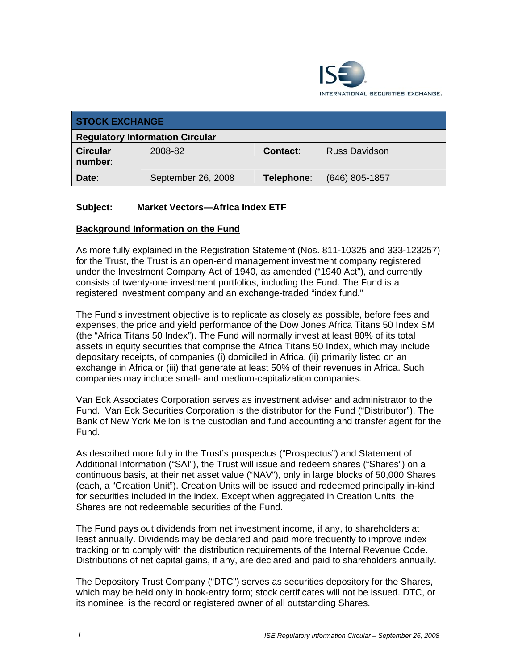

| <b>STOCK EXCHANGE</b>                  |                    |                 |                      |
|----------------------------------------|--------------------|-----------------|----------------------|
| <b>Regulatory Information Circular</b> |                    |                 |                      |
| <b>Circular</b><br>number:             | 2008-82            | <b>Contact:</b> | <b>Russ Davidson</b> |
| Date:                                  | September 26, 2008 | Telephone:      | $(646)$ 805-1857     |

## **Subject: Market Vectors—Africa Index ETF**

## **Background Information on the Fund**

As more fully explained in the Registration Statement (Nos. 811-10325 and 333-123257) for the Trust, the Trust is an open-end management investment company registered under the Investment Company Act of 1940, as amended ("1940 Act"), and currently consists of twenty-one investment portfolios, including the Fund. The Fund is a registered investment company and an exchange-traded "index fund."

The Fund's investment objective is to replicate as closely as possible, before fees and expenses, the price and yield performance of the Dow Jones Africa Titans 50 Index SM (the "Africa Titans 50 Index"). The Fund will normally invest at least 80% of its total assets in equity securities that comprise the Africa Titans 50 Index, which may include depositary receipts, of companies (i) domiciled in Africa, (ii) primarily listed on an exchange in Africa or (iii) that generate at least 50% of their revenues in Africa. Such companies may include small- and medium-capitalization companies.

Van Eck Associates Corporation serves as investment adviser and administrator to the Fund. Van Eck Securities Corporation is the distributor for the Fund ("Distributor"). The Bank of New York Mellon is the custodian and fund accounting and transfer agent for the Fund.

As described more fully in the Trust's prospectus ("Prospectus") and Statement of Additional Information ("SAI"), the Trust will issue and redeem shares ("Shares") on a continuous basis, at their net asset value ("NAV"), only in large blocks of 50,000 Shares (each, a "Creation Unit"). Creation Units will be issued and redeemed principally in-kind for securities included in the index. Except when aggregated in Creation Units, the Shares are not redeemable securities of the Fund.

The Fund pays out dividends from net investment income, if any, to shareholders at least annually. Dividends may be declared and paid more frequently to improve index tracking or to comply with the distribution requirements of the Internal Revenue Code. Distributions of net capital gains, if any, are declared and paid to shareholders annually.

The Depository Trust Company ("DTC") serves as securities depository for the Shares, which may be held only in book-entry form; stock certificates will not be issued. DTC, or its nominee, is the record or registered owner of all outstanding Shares.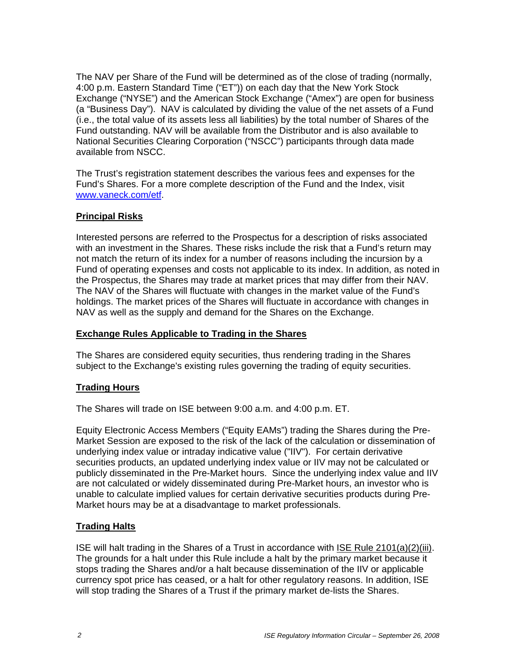The NAV per Share of the Fund will be determined as of the close of trading (normally, 4:00 p.m. Eastern Standard Time ("ET")) on each day that the New York Stock Exchange ("NYSE") and the American Stock Exchange ("Amex") are open for business (a "Business Day"). NAV is calculated by dividing the value of the net assets of a Fund (i.e., the total value of its assets less all liabilities) by the total number of Shares of the Fund outstanding. NAV will be available from the Distributor and is also available to National Securities Clearing Corporation ("NSCC") participants through data made available from NSCC.

The Trust's registration statement describes the various fees and expenses for the Fund's Shares. For a more complete description of the Fund and the Index, visit www.vaneck.com/etf.

## **Principal Risks**

Interested persons are referred to the Prospectus for a description of risks associated with an investment in the Shares. These risks include the risk that a Fund's return may not match the return of its index for a number of reasons including the incursion by a Fund of operating expenses and costs not applicable to its index. In addition, as noted in the Prospectus, the Shares may trade at market prices that may differ from their NAV. The NAV of the Shares will fluctuate with changes in the market value of the Fund's holdings. The market prices of the Shares will fluctuate in accordance with changes in NAV as well as the supply and demand for the Shares on the Exchange.

#### **Exchange Rules Applicable to Trading in the Shares**

The Shares are considered equity securities, thus rendering trading in the Shares subject to the Exchange's existing rules governing the trading of equity securities.

## **Trading Hours**

The Shares will trade on ISE between 9:00 a.m. and 4:00 p.m. ET.

Equity Electronic Access Members ("Equity EAMs") trading the Shares during the Pre-Market Session are exposed to the risk of the lack of the calculation or dissemination of underlying index value or intraday indicative value ("IIV"). For certain derivative securities products, an updated underlying index value or IIV may not be calculated or publicly disseminated in the Pre-Market hours. Since the underlying index value and IIV are not calculated or widely disseminated during Pre-Market hours, an investor who is unable to calculate implied values for certain derivative securities products during Pre-Market hours may be at a disadvantage to market professionals.

## **Trading Halts**

ISE will halt trading in the Shares of a Trust in accordance with ISE Rule 2101(a)(2)(iii). The grounds for a halt under this Rule include a halt by the primary market because it stops trading the Shares and/or a halt because dissemination of the IIV or applicable currency spot price has ceased, or a halt for other regulatory reasons. In addition, ISE will stop trading the Shares of a Trust if the primary market de-lists the Shares.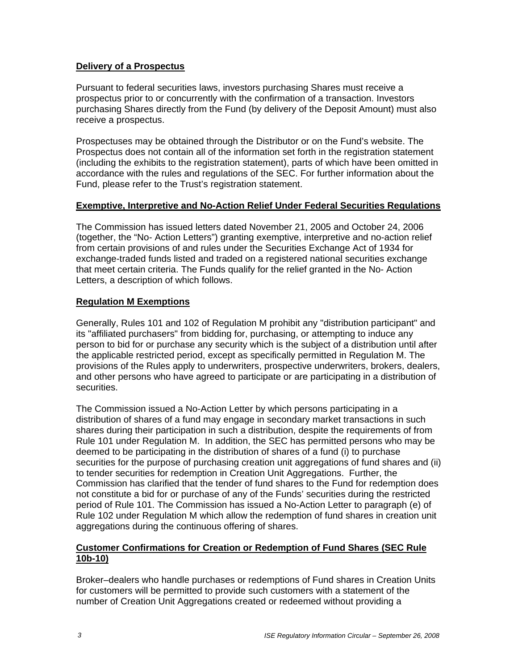## **Delivery of a Prospectus**

Pursuant to federal securities laws, investors purchasing Shares must receive a prospectus prior to or concurrently with the confirmation of a transaction. Investors purchasing Shares directly from the Fund (by delivery of the Deposit Amount) must also receive a prospectus.

Prospectuses may be obtained through the Distributor or on the Fund's website. The Prospectus does not contain all of the information set forth in the registration statement (including the exhibits to the registration statement), parts of which have been omitted in accordance with the rules and regulations of the SEC. For further information about the Fund, please refer to the Trust's registration statement.

#### **Exemptive, Interpretive and No-Action Relief Under Federal Securities Regulations**

The Commission has issued letters dated November 21, 2005 and October 24, 2006 (together, the "No- Action Letters") granting exemptive, interpretive and no-action relief from certain provisions of and rules under the Securities Exchange Act of 1934 for exchange-traded funds listed and traded on a registered national securities exchange that meet certain criteria. The Funds qualify for the relief granted in the No- Action Letters, a description of which follows.

## **Regulation M Exemptions**

Generally, Rules 101 and 102 of Regulation M prohibit any "distribution participant" and its "affiliated purchasers" from bidding for, purchasing, or attempting to induce any person to bid for or purchase any security which is the subject of a distribution until after the applicable restricted period, except as specifically permitted in Regulation M. The provisions of the Rules apply to underwriters, prospective underwriters, brokers, dealers, and other persons who have agreed to participate or are participating in a distribution of securities.

The Commission issued a No-Action Letter by which persons participating in a distribution of shares of a fund may engage in secondary market transactions in such shares during their participation in such a distribution, despite the requirements of from Rule 101 under Regulation M. In addition, the SEC has permitted persons who may be deemed to be participating in the distribution of shares of a fund (i) to purchase securities for the purpose of purchasing creation unit aggregations of fund shares and (ii) to tender securities for redemption in Creation Unit Aggregations. Further, the Commission has clarified that the tender of fund shares to the Fund for redemption does not constitute a bid for or purchase of any of the Funds' securities during the restricted period of Rule 101. The Commission has issued a No-Action Letter to paragraph (e) of Rule 102 under Regulation M which allow the redemption of fund shares in creation unit aggregations during the continuous offering of shares.

## **Customer Confirmations for Creation or Redemption of Fund Shares (SEC Rule 10b-10)**

Broker–dealers who handle purchases or redemptions of Fund shares in Creation Units for customers will be permitted to provide such customers with a statement of the number of Creation Unit Aggregations created or redeemed without providing a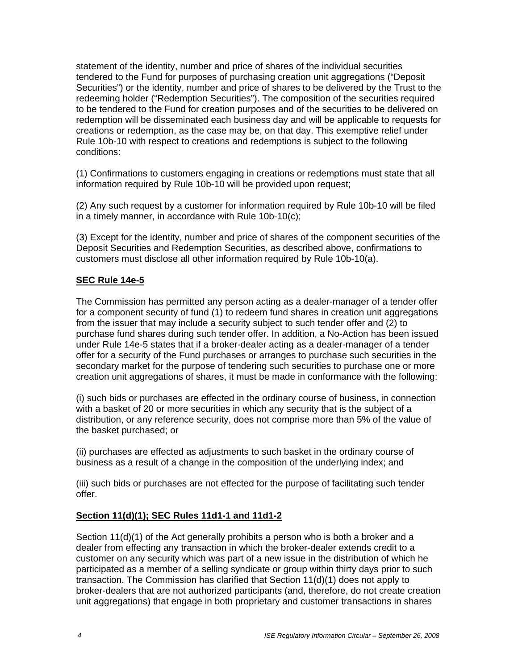statement of the identity, number and price of shares of the individual securities tendered to the Fund for purposes of purchasing creation unit aggregations ("Deposit Securities") or the identity, number and price of shares to be delivered by the Trust to the redeeming holder ("Redemption Securities"). The composition of the securities required to be tendered to the Fund for creation purposes and of the securities to be delivered on redemption will be disseminated each business day and will be applicable to requests for creations or redemption, as the case may be, on that day. This exemptive relief under Rule 10b-10 with respect to creations and redemptions is subject to the following conditions:

(1) Confirmations to customers engaging in creations or redemptions must state that all information required by Rule 10b-10 will be provided upon request;

(2) Any such request by a customer for information required by Rule 10b-10 will be filed in a timely manner, in accordance with Rule 10b-10(c);

(3) Except for the identity, number and price of shares of the component securities of the Deposit Securities and Redemption Securities, as described above, confirmations to customers must disclose all other information required by Rule 10b-10(a).

## **SEC Rule 14e-5**

The Commission has permitted any person acting as a dealer-manager of a tender offer for a component security of fund (1) to redeem fund shares in creation unit aggregations from the issuer that may include a security subject to such tender offer and (2) to purchase fund shares during such tender offer. In addition, a No-Action has been issued under Rule 14e-5 states that if a broker-dealer acting as a dealer-manager of a tender offer for a security of the Fund purchases or arranges to purchase such securities in the secondary market for the purpose of tendering such securities to purchase one or more creation unit aggregations of shares, it must be made in conformance with the following:

(i) such bids or purchases are effected in the ordinary course of business, in connection with a basket of 20 or more securities in which any security that is the subject of a distribution, or any reference security, does not comprise more than 5% of the value of the basket purchased; or

(ii) purchases are effected as adjustments to such basket in the ordinary course of business as a result of a change in the composition of the underlying index; and

(iii) such bids or purchases are not effected for the purpose of facilitating such tender offer.

## **Section 11(d)(1); SEC Rules 11d1-1 and 11d1-2**

Section 11(d)(1) of the Act generally prohibits a person who is both a broker and a dealer from effecting any transaction in which the broker-dealer extends credit to a customer on any security which was part of a new issue in the distribution of which he participated as a member of a selling syndicate or group within thirty days prior to such transaction. The Commission has clarified that Section 11(d)(1) does not apply to broker-dealers that are not authorized participants (and, therefore, do not create creation unit aggregations) that engage in both proprietary and customer transactions in shares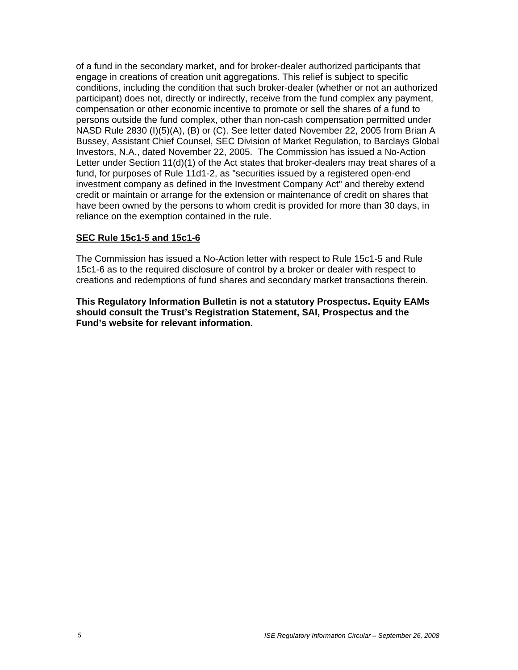of a fund in the secondary market, and for broker-dealer authorized participants that engage in creations of creation unit aggregations. This relief is subject to specific conditions, including the condition that such broker-dealer (whether or not an authorized participant) does not, directly or indirectly, receive from the fund complex any payment, compensation or other economic incentive to promote or sell the shares of a fund to persons outside the fund complex, other than non-cash compensation permitted under NASD Rule 2830 (I)(5)(A), (B) or (C). See letter dated November 22, 2005 from Brian A Bussey, Assistant Chief Counsel, SEC Division of Market Regulation, to Barclays Global Investors, N.A., dated November 22, 2005. The Commission has issued a No-Action Letter under Section 11(d)(1) of the Act states that broker-dealers may treat shares of a fund, for purposes of Rule 11d1-2, as "securities issued by a registered open-end investment company as defined in the Investment Company Act" and thereby extend credit or maintain or arrange for the extension or maintenance of credit on shares that have been owned by the persons to whom credit is provided for more than 30 days, in reliance on the exemption contained in the rule.

#### **SEC Rule 15c1-5 and 15c1-6**

The Commission has issued a No-Action letter with respect to Rule 15c1-5 and Rule 15c1-6 as to the required disclosure of control by a broker or dealer with respect to creations and redemptions of fund shares and secondary market transactions therein.

**This Regulatory Information Bulletin is not a statutory Prospectus. Equity EAMs should consult the Trust's Registration Statement, SAI, Prospectus and the Fund's website for relevant information.**